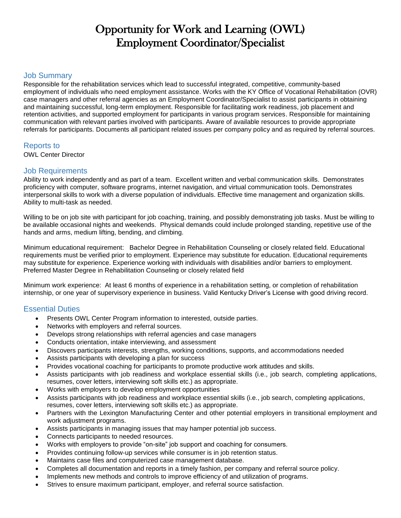# Opportunity for Work and Learning (OWL) Employment Coordinator/Specialist

### Job Summary

Responsible for the rehabilitation services which lead to successful integrated, competitive, community-based employment of individuals who need employment assistance. Works with the KY Office of Vocational Rehabilitation (OVR) case managers and other referral agencies as an Employment Coordinator/Specialist to assist participants in obtaining and maintaining successful, long-term employment. Responsible for facilitating work readiness, job placement and retention activities, and supported employment for participants in various program services. Responsible for maintaining communication with relevant parties involved with participants. Aware of available resources to provide appropriate referrals for participants. Documents all participant related issues per company policy and as required by referral sources.

### Reports to

OWL Center Director

#### Job Requirements

Ability to work independently and as part of a team. Excellent written and verbal communication skills. Demonstrates proficiency with computer, software programs, internet navigation, and virtual communication tools. Demonstrates interpersonal skills to work with a diverse population of individuals. Effective time management and organization skills. Ability to multi-task as needed.

Willing to be on job site with participant for job coaching, training, and possibly demonstrating job tasks. Must be willing to be available occasional nights and weekends. Physical demands could include prolonged standing, repetitive use of the hands and arms, medium lifting, bending, and climbing.

Minimum educational requirement: Bachelor Degree in Rehabilitation Counseling or closely related field. Educational requirements must be verified prior to employment. Experience may substitute for education. Educational requirements may substitute for experience. Experience working with individuals with disabilities and/or barriers to employment. Preferred Master Degree in Rehabilitation Counseling or closely related field

Minimum work experience: At least 6 months of experience in a rehabilitation setting, or completion of rehabilitation internship, or one year of supervisory experience in business. Valid Kentucky Driver's License with good driving record.

## Essential Duties

- Presents OWL Center Program information to interested, outside parties.
- Networks with employers and referral sources.
- Develops strong relationships with referral agencies and case managers
- Conducts orientation, intake interviewing, and assessment
- Discovers participants interests, strengths, working conditions, supports, and accommodations needed
- Assists participants with developing a plan for success
- Provides vocational coaching for participants to promote productive work attitudes and skills.
- Assists participants with job readiness and workplace essential skills (i.e., job search, completing applications, resumes, cover letters, interviewing soft skills etc.) as appropriate.
- Works with employers to develop employment opportunities
- Assists participants with job readiness and workplace essential skills (i.e., job search, completing applications, resumes, cover letters, interviewing soft skills etc.) as appropriate.
- Partners with the Lexington Manufacturing Center and other potential employers in transitional employment and work adjustment programs.
- Assists participants in managing issues that may hamper potential job success.
- Connects participants to needed resources.
- Works with employers to provide "on-site" job support and coaching for consumers.
- Provides continuing follow-up services while consumer is in job retention status.
- Maintains case files and computerized case management database.
- Completes all documentation and reports in a timely fashion, per company and referral source policy.
- Implements new methods and controls to improve efficiency of and utilization of programs.
- Strives to ensure maximum participant, employer, and referral source satisfaction.